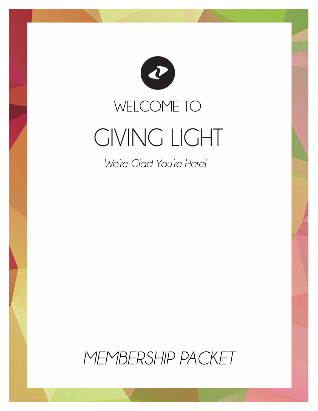

*We're Glad You're Here!*

*MEMBERSHIP PACKET*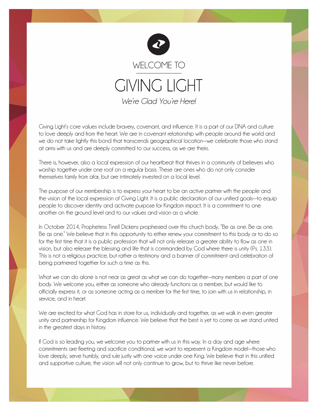

Giving Light's core values include bravery, covenant, and influence. It is a part of our DNA and culture to love deeply and from the heart. We are in covenant relationship with people around the world and we do not take lightly this bond that transcends geographical location—we celebrate those who stand at arms with us and are deeply committed to our success, as we are theirs.

There is, however, also a local expression of our heartbeat that thrives in a community of believers who worship together under one roof on a regular basis. These are ones who do not only consider themselves family from afar, but are intimately invested on a local level.

The purpose of our membership is to express your heart to be an active partner with the people and the vision of the local expression of Giving Light. It is a public declaration of our unified goals—to equip people to discover identity and activate purpose for Kingdom impact. It is a commitment to one another on the ground level and to our values and vision as a whole.

In October 2014, Prophetess Tinell Dickens prophesied over this church body, "Be as one. Be as one. Be as one." We believe that in this opportunity to either renew your commitment to this body or to do so for the first time that it is a public profession that will not only release a greater ability to flow as one in vision, but also release the blessing and life that is commanded by God where there is unity (Ps. 133). This is not a religious practice, but rather a testimony and a banner of commitment and celebration of being partnered together for such a time as this.

What we can do alone is not near as great as what we can do together—many members a part of one body. We welcome you, either as someone who already functions as a member, but would like to officially express it, or as someone acting as a member for the first time, to join with us in relationship, in service, and in heart.

We are excited for what God has in store for us, individually and together, as we walk in even greater unity and partnership for Kingdom influence. We believe that the best is yet to come as we stand united in the greatest days in history.

If God is so leading you, we welcome you to partner with us in this way. In a day and age where commitments are fleeting and sacrifice conditional, we want to represent a Kingdom model—those who love deeply, serve humbly, and rule justly with one voice under one King. We believe that in this unified and supportive culture, the vision will not only continue to grow, but to thrive like never before.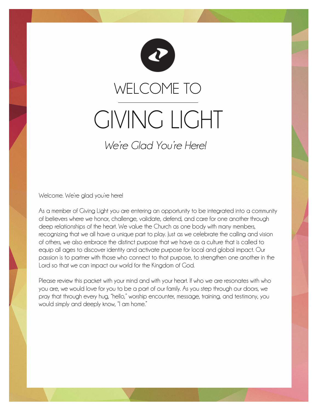

Welcome. We're glad you're here!

As a member of Giving Light you are entering an opportunity to be integrated into a community of believers where we honor, challenge, validate, defend, and care for one another through deep relationships of the heart. We value the Church as one body with many members, recognizing that we all have a unique part to play. Just as we celebrate the calling and vision of others, we also embrace the distinct purpose that we have as a culture that is called to equip all ages to discover identity and activate purpose for local and global impact. Our passion is to partner with those who connect to that purpose, to strengthen one another in the Lord so that we can impact our world for the Kingdom of God.

Please review this packet with your mind and with your heart. If who we are resonates with who you are, we would love for you to be a part of our family. As you step through our doors, we pray that through every hug, "hello," worship encounter, message, training, and testimony, you would simply and deeply know, "I am home."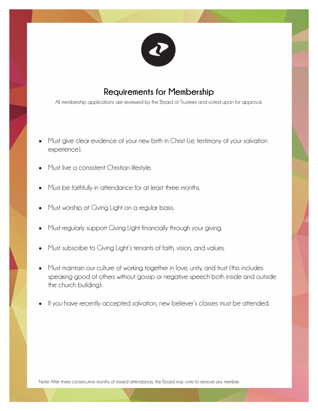

## **Requirements for Membership**

All membership applications are reviewed by the Board of Trustees and voted upon for approval.

- Must give clear evidence of your new birth in Christ (i.e. testimony of your salvation experience).
- Must live a consistent Christian lifestyle.
- Must be faithfully in attendance for at least three months.
- Must worship at Giving Light on a regular basis.
- Must regularly support Giving Light financially through your giving.
- Must subscribe to Giving Light's tenants of faith, vision, and values.
- Must maintain our culture of working together in love, unity, and trust (this includes speaking good of others without gossip or negative speech both inside and outside the church building).
- If you have recently accepted salvation, new believer's classes must be attended.

Note: After three consecutive months of missed attendance, the Board may vote to remove any member.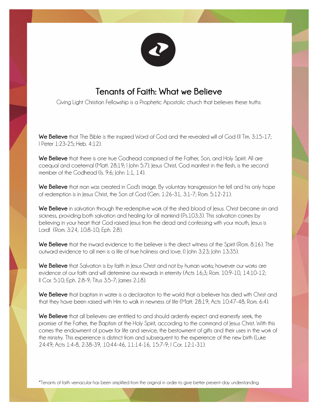

## **Tenants of Faith: What we Believe**

Giving Light Christian Fellowship is a Prophetic Apostolic church that believes these truths:

**We Believe** that The Bible is the inspired Word of God and the revealed will of God (II Tim. 3:15-17; I Peter 1:23-25; Heb. 4:12).

**We Believe** that there is one true Godhead comprised of the Father, Son, and Holy Spirit. All are coequal and coeternal (Matt. 28:19; I John 5:7). Jesus Christ, God manifest in the flesh, is the second member of the Godhead (Is. 9:6; John 1:1, 14).

**We Believe** that man was created in God's image. By voluntary transgression he fell and his only hope of redemption is in Jesus Christ, the Son of God (Gen. 1:26-31, 3:1-7; Rom. 5:12-21).

We Believe in salvation through the redemptive work of the shed blood of Jesus. Christ became sin and sickness, providing both salvation and healing for all mankind (Ps.103:3). This salvation comes by believing in your heart that God raised Jesus from the dead and confessing with your mouth, Jesus is Lord! (Rom. 3:24, 10:8-10; Eph. 2:8).

**We Believe** that the inward evidence to the believer is the direct witness of the Spirit (Rom. 8:16). The outward evidence to all men is a life of true holiness and love. (I John 3:23; John 13:35).

**We Believe** that Salvation is by faith in Jesus Christ and not by human works; however our works are evidence of our faith and will determine our rewards in eternity (Acts 16;3; Rom. 10:9-10, 14:10-12; II Cor. 5:10; Eph. 2:8-9; Titus 3:5-7; James 2:18).

We Believe that baptism in water is a declaration to the world that a believer has died with Christ and that they have been raised with Him to walk in newness of life (Matt. 28:19; Acts 10:47-48; Rom. 6:4).

**We Believe** that all believers are entitled to and should ardently expect and earnestly seek, the promise of the Father, the Baptism of the Holy Spirit, according to the command of Jesus Christ. With this comes the endowment of power for life and service, the bestowment of gifts and their uses in the work of the ministry. This experience is distinct from and subsequent to the experience of the new birth (Luke 24:49; Acts 1:4-8, 2:38-39, 10:44-46, 11:14-16, 15:7-9; I Cor. 12:1-31).

\*Tenants of faith vernacular has been simplified from the original in order to give better present-day understanding.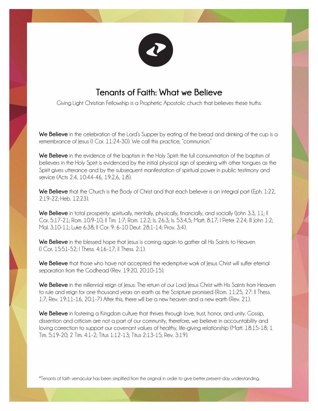

## **Tenants of Faith: What we Believe**

Giving Light Christian Fellowship is a Prophetic Apostolic church that believes these truths:

**We Believe** in the celebration of the Lord's Supper by eating of the bread and drinking of the cup is a remembrance of Jesus (I Cor. 11:24-30). We call this practice, "communion."

**We Believe** in the evidence of the baptism in the Holy Spirit: the full consummation of the baptism of believers in the Holy Spirit is evidenced by the initial physical sign of speaking with other tongues as the Spirit gives utterance and by the subsequent manifestation of spiritual power in public testimony and service (Acts 2:4, 10:44-46, 19:2,6, 1:8).

**We Believe** that the Church is the Body of Christ and that each believer is an integral part (Eph. 1:22, 2:19-22; Heb. 12:23).

We Believe in total prosperity: spiritually, mentally, physically, financially, and socially (John 3:3, 11; II Cor. 5:17-21; Rom. 10:9-10; II Tim. 1:7; Rom. 12:2; Is. 26:3; Is. 53:4,5; Matt. 8:17; I Peter 2:24; III John 1:2; Mal. 3:10-11; Luke 6:38; II Cor. 9: 6-10 Deut. 28:1-14; Prov. 3:4).

**We Believe** in the blessed hope that Jesus is coming again to gather all His Saints to Heaven (I Cor. 15:51-52; I Thess. 4:16-17; II Thess. 2:1).

We Believe that those who have not accepted the redemptive work of lesus Christ will suffer eternal separation from the Godhead (Rev. 19:20, 20:10-15).

**We Believe** in the millennial reign of Jesus: The return of our Lord Jesus Christ with His Saints from Heaven to rule and reign for one thousand years on earth as the Scripture promised (Rom. 11:25, 27: II Thess. 1:7; Rev. 19:11-16, 20:1-7) After this, there will be a new heaven and a new earth (Rev. 21).

**We Believe** in fostering a Kingdom culture that thrives through love, trust, honor, and unity. Gossip, dissention and criticism are not a part of our community, therefore, we believe in accountability and loving correction to support our covenant values of healthy, life-giving relationship (Matt. 18:15-18; 1 Tim. 5:19-20; 2 Tim. 4:1-2; Titus 1:12-13; Titus 2:13-15; Rev. 3:19).

\*Tenants of faith vernacular has been simplified from the original in order to give better present-day understanding.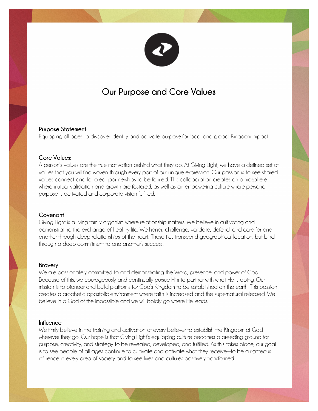

# **Our Purpose and Core Values**

#### **Purpose Statement:**

Equipping all ages to discover identity and activate purpose for local and global Kingdom impact.

#### **Core Values:**

A person's values are the true motivation behind what they do. At Giving Light, we have a defined set of values that you will find woven through every part of our unique expression. Our passion is to see shared values connect and for great partnerships to be formed. This collaboration creates an atmosphere where mutual validation and growth are fostered, as well as an empowering culture where personal purpose is activated and corporate vision fulfilled.

#### **Covenant**

Giving Light is a living family organism where relationship matters. We believe in cultivating and demonstrating the exchange of healthy life. We honor, challenge, validate, defend, and care for one another through deep relationships of the heart. These ties transcend geographical location, but bind through a deep commitment to one another's success.

#### **Bravery**

We are passionately committed to and demonstrating the Word, presence, and power of God. Because of this, we courageously and continually pursue Him to partner with what He is doing. Our mission is to pioneer and build platforms for God's Kingdom to be established on the earth. This passion creates a prophetic apostolic environment where faith is increased and the supernatural released. We believe in a God of the impossible and we will boldly go where He leads.

#### **Influence**

We firmly believe in the training and activation of every believer to establish the Kingdom of God wherever they go. Our hope is that Giving Light's equipping culture becomes a breeding ground for purpose, creativity, and strategy to be revealed, developed, and fulfilled. As this takes place, our goal is to see people of all ages continue to cultivate and activate what they receive—to be a righteous influence in every area of society and to see lives and cultures positively transformed.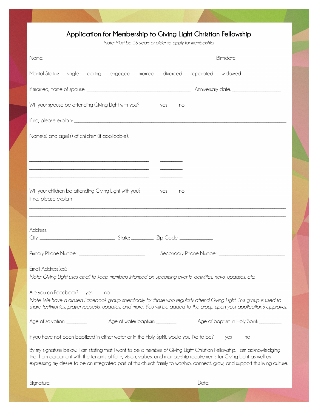### **Application for Membership to Giving Light Christian Fellowship**

*Note: Must be 16 years or older to apply for membership.*

| Birthdate: _______________________                                                                                                                                                                                                                                                                                                                                                   |
|--------------------------------------------------------------------------------------------------------------------------------------------------------------------------------------------------------------------------------------------------------------------------------------------------------------------------------------------------------------------------------------|
| Marital Status:<br>dating<br>divorced<br>separated widowed<br>single<br>engaged<br>married                                                                                                                                                                                                                                                                                           |
|                                                                                                                                                                                                                                                                                                                                                                                      |
| Will your spouse be attending Giving Light with you?<br>yes<br>no                                                                                                                                                                                                                                                                                                                    |
|                                                                                                                                                                                                                                                                                                                                                                                      |
| Name(s) and age(s) of children (if applicable):                                                                                                                                                                                                                                                                                                                                      |
| ——————————                                                                                                                                                                                                                                                                                                                                                                           |
|                                                                                                                                                                                                                                                                                                                                                                                      |
|                                                                                                                                                                                                                                                                                                                                                                                      |
| Will your children be attending Giving Light with you?<br>yes<br>no<br>If no, please explain                                                                                                                                                                                                                                                                                         |
| ,我们也不能在这里的人,我们也不能在这里的人,我们也不能在这里的人,我们也不能在这里的人,我们也不能在这里的人,我们也不能在这里的人,我们也不能在这里的人,我们也                                                                                                                                                                                                                                                                                                    |
|                                                                                                                                                                                                                                                                                                                                                                                      |
|                                                                                                                                                                                                                                                                                                                                                                                      |
|                                                                                                                                                                                                                                                                                                                                                                                      |
| Note: Giving Light uses email to keep members informed on upcoming events, activities, news, updates, etc.                                                                                                                                                                                                                                                                           |
|                                                                                                                                                                                                                                                                                                                                                                                      |
| Are you on Facebook?<br>yes<br>no<br>Note: We have a closed Facebook group specifically for those who regularly attend Giving Light. This group is used to<br>share testimonies, prayer requests, updates, and more. You will be added to the group upon your application's approval.                                                                                                |
| Age of water baptism: ________<br>Age of salvation: _________<br>Age of baptism in Holy Spirit: __________                                                                                                                                                                                                                                                                           |
| If you have not been baptized in either water or in the Holy Spirit, would you like to be?<br>yes<br>no                                                                                                                                                                                                                                                                              |
| By my signature below, I am stating that I want to be a member of Giving Light Christian Fellowship. I am acknowledging<br>that I am agreement with the tenants of faith, vision, values, and membership requirements for Giving Light as well as<br>expressing my desire to be an integrated part of this church family to worship, connect, grow, and support this living culture. |
| Date: ________________________                                                                                                                                                                                                                                                                                                                                                       |
|                                                                                                                                                                                                                                                                                                                                                                                      |